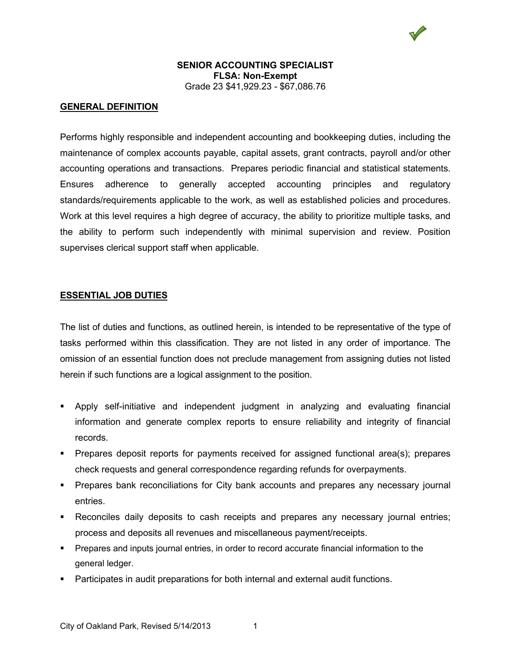#### **GENERAL DEFINITION**

Performs highly responsible and independent accounting and bookkeeping duties, including the maintenance of complex accounts payable, capital assets, grant contracts, payroll and/or other accounting operations and transactions. Prepares periodic financial and statistical statements. Ensures adherence to generally accepted accounting principles and regulatory standards/requirements applicable to the work, as well as established policies and procedures. Work at this level requires a high degree of accuracy, the ability to prioritize multiple tasks, and the ability to perform such independently with minimal supervision and review. Position supervises clerical support staff when applicable.

#### **ESSENTIAL JOB DUTIES**

The list of duties and functions, as outlined herein, is intended to be representative of the type of tasks performed within this classification. They are not listed in any order of importance. The omission of an essential function does not preclude management from assigning duties not listed herein if such functions are a logical assignment to the position.

- Apply self-initiative and independent judgment in analyzing and evaluating financial information and generate complex reports to ensure reliability and integrity of financial records.
- **Prepares deposit reports for payments received for assigned functional area(s); prepares** check requests and general correspondence regarding refunds for overpayments.
- **Prepares bank reconciliations for City bank accounts and prepares any necessary journal** entries.
- Reconciles daily deposits to cash receipts and prepares any necessary journal entries; process and deposits all revenues and miscellaneous payment/receipts.
- **Prepares and inputs journal entries, in order to record accurate financial information to the** general ledger.
- Participates in audit preparations for both internal and external audit functions.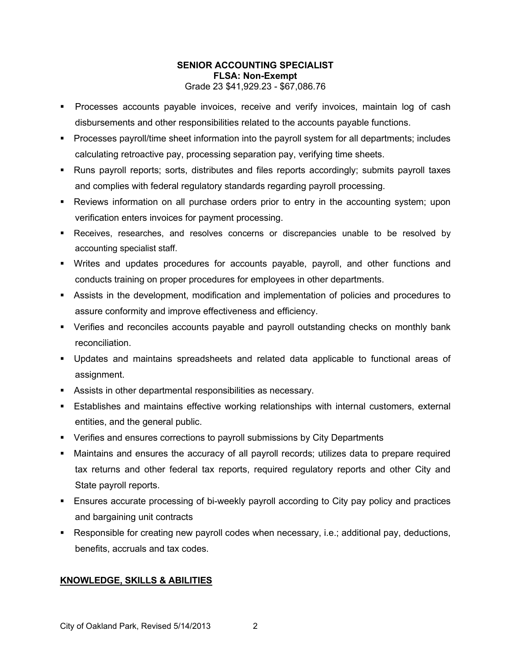- **Processes accounts payable invoices, receive and verify invoices, maintain log of cash** disbursements and other responsibilities related to the accounts payable functions.
- Processes payroll/time sheet information into the payroll system for all departments; includes calculating retroactive pay, processing separation pay, verifying time sheets.
- Runs payroll reports; sorts, distributes and files reports accordingly; submits payroll taxes and complies with federal regulatory standards regarding payroll processing.
- Reviews information on all purchase orders prior to entry in the accounting system; upon verification enters invoices for payment processing.
- Receives, researches, and resolves concerns or discrepancies unable to be resolved by accounting specialist staff.
- Writes and updates procedures for accounts payable, payroll, and other functions and conducts training on proper procedures for employees in other departments.
- Assists in the development, modification and implementation of policies and procedures to assure conformity and improve effectiveness and efficiency.
- Verifies and reconciles accounts payable and payroll outstanding checks on monthly bank reconciliation.
- Updates and maintains spreadsheets and related data applicable to functional areas of assignment.
- Assists in other departmental responsibilities as necessary.
- Establishes and maintains effective working relationships with internal customers, external entities, and the general public.
- Verifies and ensures corrections to payroll submissions by City Departments
- Maintains and ensures the accuracy of all payroll records; utilizes data to prepare required tax returns and other federal tax reports, required regulatory reports and other City and State payroll reports.
- Ensures accurate processing of bi-weekly payroll according to City pay policy and practices and bargaining unit contracts
- Responsible for creating new payroll codes when necessary, i.e.; additional pay, deductions, benefits, accruals and tax codes.

# **KNOWLEDGE, SKILLS & ABILITIES**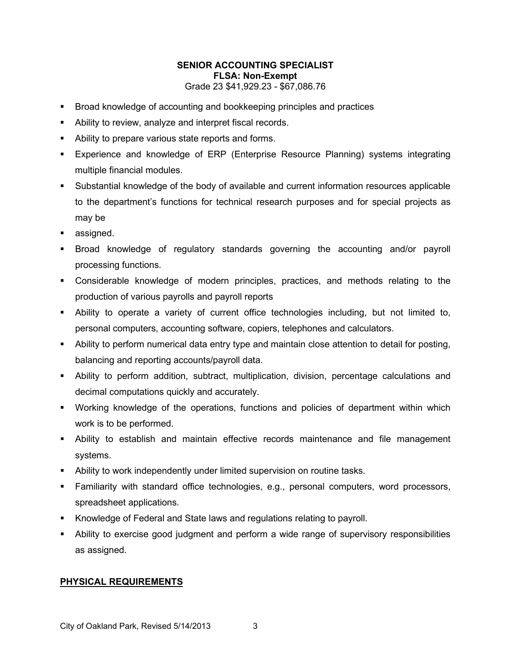- **Broad knowledge of accounting and bookkeeping principles and practices**
- Ability to review, analyze and interpret fiscal records.
- Ability to prepare various state reports and forms.
- Experience and knowledge of ERP (Enterprise Resource Planning) systems integrating multiple financial modules.
- Substantial knowledge of the body of available and current information resources applicable to the department's functions for technical research purposes and for special projects as may be
- **assigned.**
- Broad knowledge of regulatory standards governing the accounting and/or payroll processing functions.
- Considerable knowledge of modern principles, practices, and methods relating to the production of various payrolls and payroll reports
- Ability to operate a variety of current office technologies including, but not limited to, personal computers, accounting software, copiers, telephones and calculators.
- Ability to perform numerical data entry type and maintain close attention to detail for posting, balancing and reporting accounts/payroll data.
- Ability to perform addition, subtract, multiplication, division, percentage calculations and decimal computations quickly and accurately.
- Working knowledge of the operations, functions and policies of department within which work is to be performed.
- Ability to establish and maintain effective records maintenance and file management systems.
- Ability to work independently under limited supervision on routine tasks.
- Familiarity with standard office technologies, e.g., personal computers, word processors, spreadsheet applications.
- Knowledge of Federal and State laws and regulations relating to payroll.
- Ability to exercise good judgment and perform a wide range of supervisory responsibilities as assigned.

## **PHYSICAL REQUIREMENTS**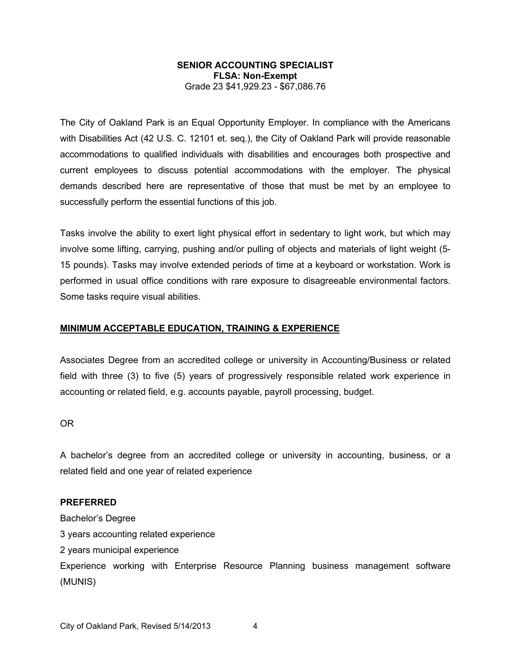The City of Oakland Park is an Equal Opportunity Employer. In compliance with the Americans with Disabilities Act (42 U.S. C. 12101 et. seq.), the City of Oakland Park will provide reasonable accommodations to qualified individuals with disabilities and encourages both prospective and current employees to discuss potential accommodations with the employer. The physical demands described here are representative of those that must be met by an employee to successfully perform the essential functions of this job.

Tasks involve the ability to exert light physical effort in sedentary to light work, but which may involve some lifting, carrying, pushing and/or pulling of objects and materials of light weight (5- 15 pounds). Tasks may involve extended periods of time at a keyboard or workstation. Work is performed in usual office conditions with rare exposure to disagreeable environmental factors. Some tasks require visual abilities.

#### **MINIMUM ACCEPTABLE EDUCATION, TRAINING & EXPERIENCE**

Associates Degree from an accredited college or university in Accounting/Business or related field with three (3) to five (5) years of progressively responsible related work experience in accounting or related field, e.g. accounts payable, payroll processing, budget.

OR

A bachelor's degree from an accredited college or university in accounting, business, or a related field and one year of related experience

## **PREFERRED**

Bachelor's Degree

3 years accounting related experience

2 years municipal experience

Experience working with Enterprise Resource Planning business management software (MUNIS)